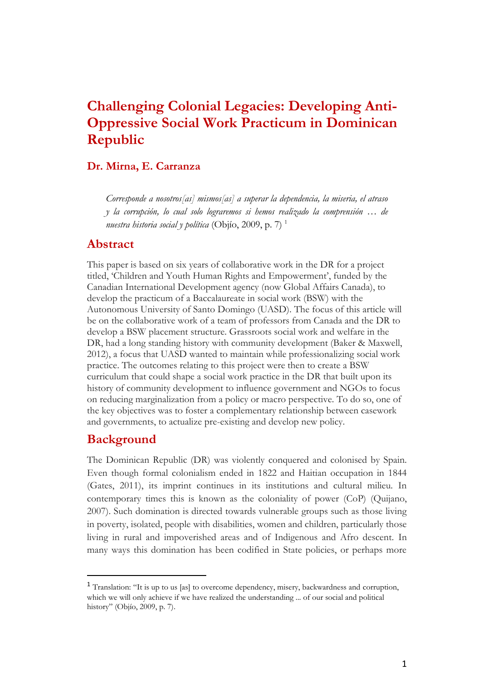# **Challenging Colonial Legacies: Developing Anti-Oppressive Social Work Practicum in Dominican Republic**

#### **Dr. Mirna, E. Carranza**

*Corresponde a nosotros[as] mismos[as] a superar la dependencia, la miseria, el atraso y la corrupción, lo cual solo lograremos si hemos realizado la comprensión … de nuestra historia social y política* (Objío, 2009, p. 7) <sup>1</sup>

#### **Abstract**

This paper is based on six years of collaborative work in the DR for a project titled, 'Children and Youth Human Rights and Empowerment', funded by the Canadian International Development agency (now Global Affairs Canada), to develop the practicum of a Baccalaureate in social work (BSW) with the Autonomous University of Santo Domingo (UASD). The focus of this article will be on the collaborative work of a team of professors from Canada and the DR to develop a BSW placement structure. Grassroots social work and welfare in the DR, had a long standing history with community development (Baker & Maxwell, 2012), a focus that UASD wanted to maintain while professionalizing social work practice. The outcomes relating to this project were then to create a BSW curriculum that could shape a social work practice in the DR that built upon its history of community development to influence government and NGOs to focus on reducing marginalization from a policy or macro perspective. To do so, one of the key objectives was to foster a complementary relationship between casework and governments, to actualize pre-existing and develop new policy.

### **Background**

 $\overline{a}$ 

The Dominican Republic (DR) was violently conquered and colonised by Spain. Even though formal colonialism ended in 1822 and Haitian occupation in 1844 (Gates, 2011), its imprint continues in its institutions and cultural milieu. In contemporary times this is known as the coloniality of power (CoP) (Quijano, 2007). Such domination is directed towards vulnerable groups such as those living in poverty, isolated, people with disabilities, women and children, particularly those living in rural and impoverished areas and of Indigenous and Afro descent. In many ways this domination has been codified in State policies, or perhaps more

<sup>1</sup> Translation: "It is up to us [as] to overcome dependency, misery, backwardness and corruption, which we will only achieve if we have realized the understanding ... of our social and political history" (Objío, 2009, p. 7).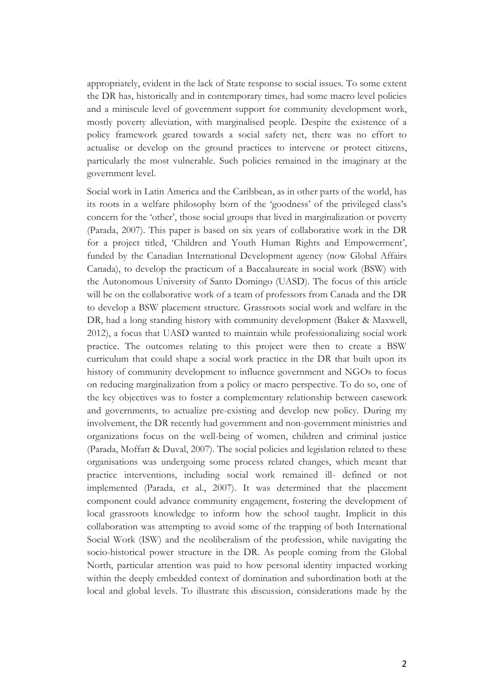appropriately, evident in the lack of State response to social issues. To some extent the DR has, historically and in contemporary times, had some macro level policies and a miniscule level of government support for community development work, mostly poverty alleviation, with marginalised people. Despite the existence of a policy framework geared towards a social safety net, there was no effort to actualise or develop on the ground practices to intervene or protect citizens, particularly the most vulnerable. Such policies remained in the imaginary at the government level.

Social work in Latin America and the Caribbean, as in other parts of the world, has its roots in a welfare philosophy born of the 'goodness' of the privileged class's concern for the 'other', those social groups that lived in marginalization or poverty (Parada, 2007). This paper is based on six years of collaborative work in the DR for a project titled, 'Children and Youth Human Rights and Empowerment', funded by the Canadian International Development agency (now Global Affairs Canada), to develop the practicum of a Baccalaureate in social work (BSW) with the Autonomous University of Santo Domingo (UASD). The focus of this article will be on the collaborative work of a team of professors from Canada and the DR to develop a BSW placement structure. Grassroots social work and welfare in the DR, had a long standing history with community development (Baker & Maxwell, 2012), a focus that UASD wanted to maintain while professionalizing social work practice. The outcomes relating to this project were then to create a BSW curriculum that could shape a social work practice in the DR that built upon its history of community development to influence government and NGOs to focus on reducing marginalization from a policy or macro perspective. To do so, one of the key objectives was to foster a complementary relationship between casework and governments, to actualize pre-existing and develop new policy. During my involvement, the DR recently had government and non-government ministries and organizations focus on the well-being of women, children and criminal justice (Parada, Moffatt & Duval, 2007). The social policies and legislation related to these organisations was undergoing some process related changes, which meant that practice interventions, including social work remained ill- defined or not implemented (Parada, et al., 2007). It was determined that the placement component could advance community engagement, fostering the development of local grassroots knowledge to inform how the school taught. Implicit in this collaboration was attempting to avoid some of the trapping of both International Social Work (ISW) and the neoliberalism of the profession, while navigating the socio-historical power structure in the DR. As people coming from the Global North, particular attention was paid to how personal identity impacted working within the deeply embedded context of domination and subordination both at the local and global levels. To illustrate this discussion, considerations made by the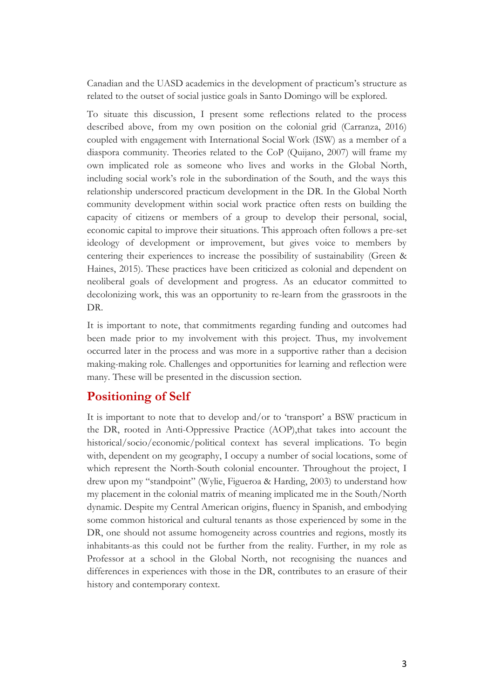Canadian and the UASD academics in the development of practicum's structure as related to the outset of social justice goals in Santo Domingo will be explored.

To situate this discussion, I present some reflections related to the process described above, from my own position on the colonial grid (Carranza, 2016) coupled with engagement with International Social Work (ISW) as a member of a diaspora community. Theories related to the CoP (Quijano, 2007) will frame my own implicated role as someone who lives and works in the Global North, including social work's role in the subordination of the South, and the ways this relationship underscored practicum development in the DR. In the Global North community development within social work practice often rests on building the capacity of citizens or members of a group to develop their personal, social, economic capital to improve their situations. This approach often follows a pre-set ideology of development or improvement, but gives voice to members by centering their experiences to increase the possibility of sustainability (Green & Haines, 2015). These practices have been criticized as colonial and dependent on neoliberal goals of development and progress. As an educator committed to decolonizing work, this was an opportunity to re-learn from the grassroots in the DR.

It is important to note, that commitments regarding funding and outcomes had been made prior to my involvement with this project. Thus, my involvement occurred later in the process and was more in a supportive rather than a decision making-making role. Challenges and opportunities for learning and reflection were many. These will be presented in the discussion section.

## **Positioning of Self**

It is important to note that to develop and/or to 'transport' a BSW practicum in the DR, rooted in Anti-Oppressive Practice (AOP),that takes into account the historical/socio/economic/political context has several implications. To begin with, dependent on my geography, I occupy a number of social locations, some of which represent the North-South colonial encounter. Throughout the project, I drew upon my "standpoint" (Wylie, Figueroa & Harding, 2003) to understand how my placement in the colonial matrix of meaning implicated me in the South/North dynamic. Despite my Central American origins, fluency in Spanish, and embodying some common historical and cultural tenants as those experienced by some in the DR, one should not assume homogeneity across countries and regions, mostly its inhabitants-as this could not be further from the reality. Further, in my role as Professor at a school in the Global North, not recognising the nuances and differences in experiences with those in the DR, contributes to an erasure of their history and contemporary context.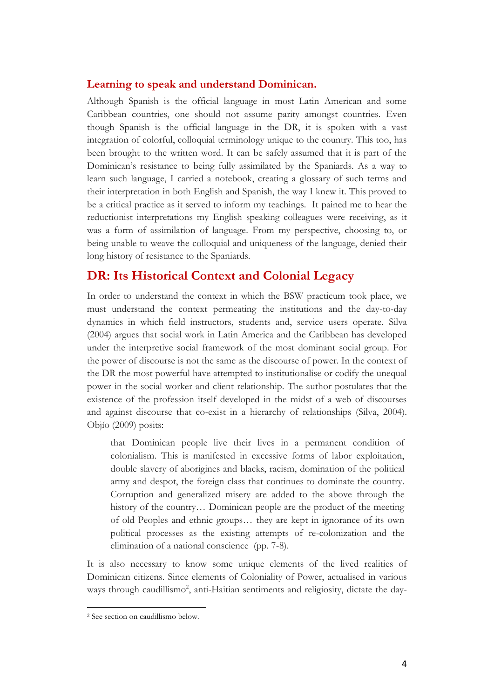#### **Learning to speak and understand Dominican.**

Although Spanish is the official language in most Latin American and some Caribbean countries, one should not assume parity amongst countries. Even though Spanish is the official language in the DR, it is spoken with a vast integration of colorful, colloquial terminology unique to the country. This too, has been brought to the written word. It can be safely assumed that it is part of the Dominican's resistance to being fully assimilated by the Spaniards. As a way to learn such language, I carried a notebook, creating a glossary of such terms and their interpretation in both English and Spanish, the way I knew it. This proved to be a critical practice as it served to inform my teachings. It pained me to hear the reductionist interpretations my English speaking colleagues were receiving, as it was a form of assimilation of language. From my perspective, choosing to, or being unable to weave the colloquial and uniqueness of the language, denied their long history of resistance to the Spaniards.

## **DR: Its Historical Context and Colonial Legacy**

In order to understand the context in which the BSW practicum took place, we must understand the context permeating the institutions and the day-to-day dynamics in which field instructors, students and, service users operate. Silva (2004) argues that social work in Latin America and the Caribbean has developed under the interpretive social framework of the most dominant social group. For the power of discourse is not the same as the discourse of power. In the context of the DR the most powerful have attempted to institutionalise or codify the unequal power in the social worker and client relationship. The author postulates that the existence of the profession itself developed in the midst of a web of discourses and against discourse that co-exist in a hierarchy of relationships (Silva, 2004). Objío (2009) posits:

that Dominican people live their lives in a permanent condition of colonialism. This is manifested in excessive forms of labor exploitation, double slavery of aborigines and blacks, racism, domination of the political army and despot, the foreign class that continues to dominate the country. Corruption and generalized misery are added to the above through the history of the country… Dominican people are the product of the meeting of old Peoples and ethnic groups… they are kept in ignorance of its own political processes as the existing attempts of re-colonization and the elimination of a national conscience (pp. 7-8).

It is also necessary to know some unique elements of the lived realities of Dominican citizens. Since elements of Coloniality of Power, actualised in various ways through caudillismo<sup>2</sup>, anti-Haitian sentiments and religiosity, dictate the day-

 $\overline{a}$ 

<sup>2</sup> See section on caudillismo below.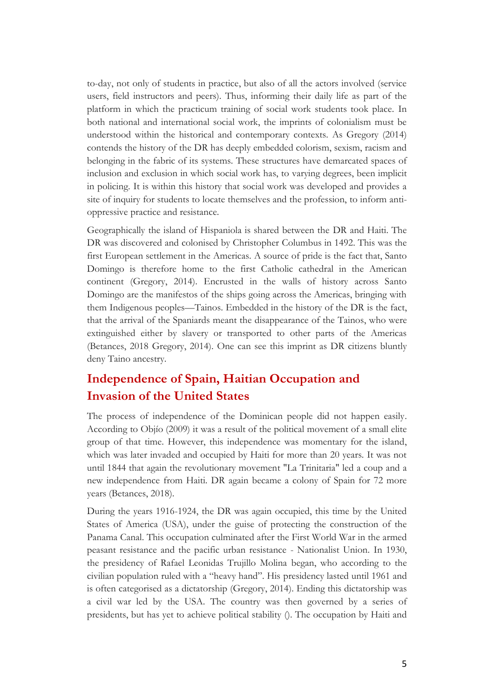to-day, not only of students in practice, but also of all the actors involved (service users, field instructors and peers). Thus, informing their daily life as part of the platform in which the practicum training of social work students took place. In both national and international social work, the imprints of colonialism must be understood within the historical and contemporary contexts. As Gregory (2014) contends the history of the DR has deeply embedded colorism, sexism, racism and belonging in the fabric of its systems. These structures have demarcated spaces of inclusion and exclusion in which social work has, to varying degrees, been implicit in policing. It is within this history that social work was developed and provides a site of inquiry for students to locate themselves and the profession, to inform antioppressive practice and resistance.

Geographically the island of Hispaniola is shared between the DR and Haiti. The DR was discovered and colonised by Christopher Columbus in 1492. This was the first European settlement in the Americas. A source of pride is the fact that, Santo Domingo is therefore home to the first Catholic cathedral in the American continent (Gregory, 2014). Encrusted in the walls of history across Santo Domingo are the manifestos of the ships going across the Americas, bringing with them Indigenous peoples—Tainos. Embedded in the history of the DR is the fact, that the arrival of the Spaniards meant the disappearance of the Tainos, who were extinguished either by slavery or transported to other parts of the Americas (Betances, 2018 Gregory, 2014). One can see this imprint as DR citizens bluntly deny Taino ancestry.

# **Independence of Spain, Haitian Occupation and Invasion of the United States**

The process of independence of the Dominican people did not happen easily. According to Objío (2009) it was a result of the political movement of a small elite group of that time. However, this independence was momentary for the island, which was later invaded and occupied by Haiti for more than 20 years. It was not until 1844 that again the revolutionary movement "La Trinitaria" led a coup and a new independence from Haiti. DR again became a colony of Spain for 72 more years (Betances, 2018).

During the years 1916-1924, the DR was again occupied, this time by the United States of America (USA), under the guise of protecting the construction of the Panama Canal. This occupation culminated after the First World War in the armed peasant resistance and the pacific urban resistance - Nationalist Union. In 1930, the presidency of Rafael Leonidas Trujillo Molina began, who according to the civilian population ruled with a "heavy hand". His presidency lasted until 1961 and is often categorised as a dictatorship (Gregory, 2014). Ending this dictatorship was a civil war led by the USA. The country was then governed by a series of presidents, but has yet to achieve political stability (). The occupation by Haiti and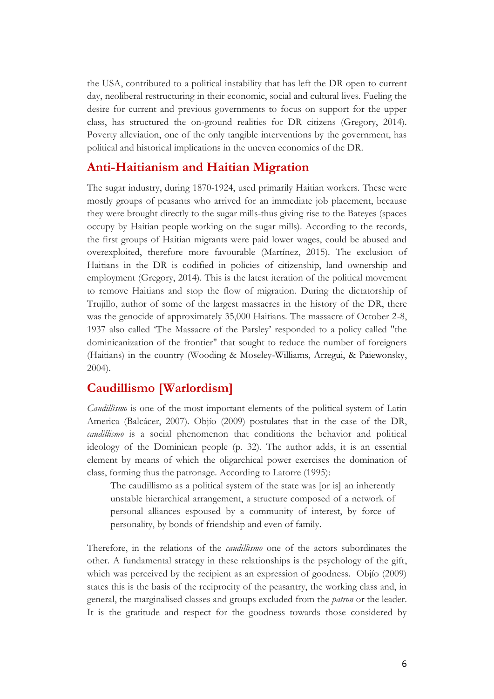the USA, contributed to a political instability that has left the DR open to current day, neoliberal restructuring in their economic, social and cultural lives. Fueling the desire for current and previous governments to focus on support for the upper class, has structured the on-ground realities for DR citizens (Gregory, 2014). Poverty alleviation, one of the only tangible interventions by the government, has political and historical implications in the uneven economics of the DR.

## **Anti-Haitianism and Haitian Migration**

The sugar industry, during 1870-1924, used primarily Haitian workers. These were mostly groups of peasants who arrived for an immediate job placement, because they were brought directly to the sugar mills-thus giving rise to the Bateyes (spaces occupy by Haitian people working on the sugar mills). According to the records, the first groups of Haitian migrants were paid lower wages, could be abused and overexploited, therefore more favourable (Martínez, 2015). The exclusion of Haitians in the DR is codified in policies of citizenship, land ownership and employment (Gregory, 2014). This is the latest iteration of the political movement to remove Haitians and stop the flow of migration. During the dictatorship of Trujillo, author of some of the largest massacres in the history of the DR, there was the genocide of approximately 35,000 Haitians. The massacre of October 2-8, 1937 also called 'The Massacre of the Parsley' responded to a policy called "the dominicanization of the frontier" that sought to reduce the number of foreigners (Haitians) in the country (Wooding & Moseley-Williams, Arregui, & Paiewonsky, 2004).

## **Caudillismo [Warlordism]**

*Caudillismo* is one of the most important elements of the political system of Latin America (Balcácer, 2007). Objío (2009) postulates that in the case of the DR, *caudillismo* is a social phenomenon that conditions the behavior and political ideology of the Dominican people (p. 32). The author adds, it is an essential element by means of which the oligarchical power exercises the domination of class, forming thus the patronage. According to Latorre (1995):

The caudillismo as a political system of the state was [or is] an inherently unstable hierarchical arrangement, a structure composed of a network of personal alliances espoused by a community of interest, by force of personality, by bonds of friendship and even of family.

Therefore, in the relations of the *caudillismo* one of the actors subordinates the other. A fundamental strategy in these relationships is the psychology of the gift, which was perceived by the recipient as an expression of goodness. Objío (2009) states this is the basis of the reciprocity of the peasantry, the working class and, in general, the marginalised classes and groups excluded from the *patron* or the leader. It is the gratitude and respect for the goodness towards those considered by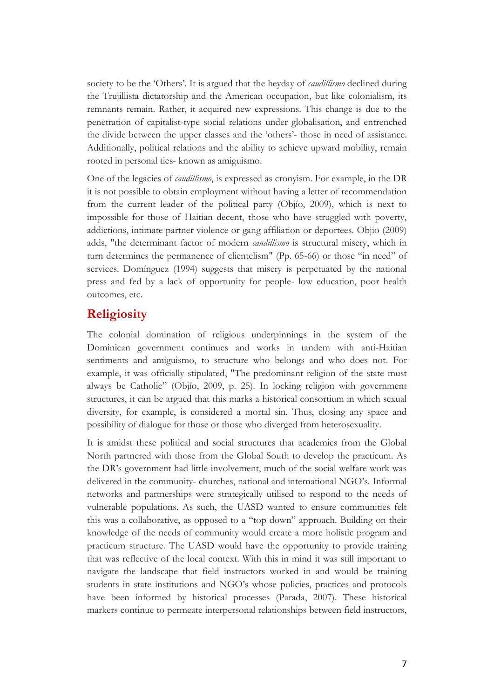society to be the 'Others'. It is argued that the heyday of *caudillismo* declined during the Trujillista dictatorship and the American occupation, but like colonialism, its remnants remain. Rather, it acquired new expressions. This change is due to the penetration of capitalist-type social relations under globalisation, and entrenched the divide between the upper classes and the 'others'- those in need of assistance. Additionally, political relations and the ability to achieve upward mobility, remain rooted in personal ties- known as amiguismo.

One of the legacies of *caudillismo*, is expressed as cronyism. For example, in the DR it is not possible to obtain employment without having a letter of recommendation from the current leader of the political party (Objío, 2009), which is next to impossible for those of Haitian decent, those who have struggled with poverty, addictions, intimate partner violence or gang affiliation or deportees. Objio (2009) adds, "the determinant factor of modern *caudillismo* is structural misery, which in turn determines the permanence of clientelism" (Pp. 65-66) or those "in need" of services. Domínguez (1994) suggests that misery is perpetuated by the national press and fed by a lack of opportunity for people- low education, poor health outcomes, etc.

## **Religiosity**

The colonial domination of religious underpinnings in the system of the Dominican government continues and works in tandem with anti-Haitian sentiments and amiguismo, to structure who belongs and who does not. For example, it was officially stipulated, "The predominant religion of the state must always be Catholic" (Objío, 2009, p. 25). In locking religion with government structures, it can be argued that this marks a historical consortium in which sexual diversity, for example, is considered a mortal sin. Thus, closing any space and possibility of dialogue for those or those who diverged from heterosexuality.

It is amidst these political and social structures that academics from the Global North partnered with those from the Global South to develop the practicum. As the DR's government had little involvement, much of the social welfare work was delivered in the community- churches, national and international NGO's. Informal networks and partnerships were strategically utilised to respond to the needs of vulnerable populations. As such, the UASD wanted to ensure communities felt this was a collaborative, as opposed to a "top down" approach. Building on their knowledge of the needs of community would create a more holistic program and practicum structure. The UASD would have the opportunity to provide training that was reflective of the local context. With this in mind it was still important to navigate the landscape that field instructors worked in and would be training students in state institutions and NGO's whose policies, practices and protocols have been informed by historical processes (Parada, 2007). These historical markers continue to permeate interpersonal relationships between field instructors,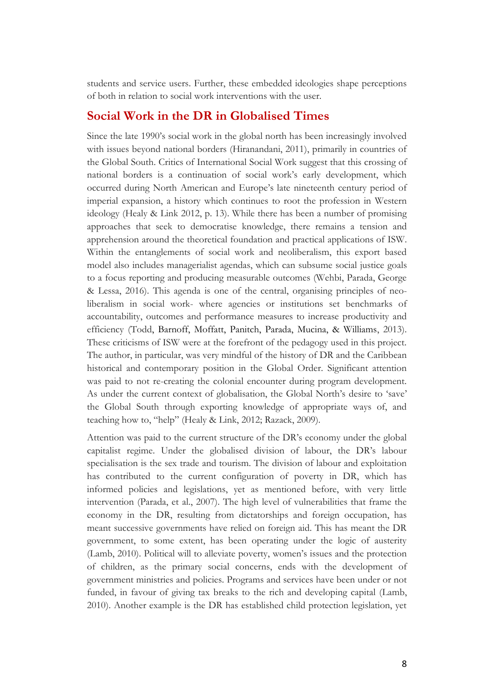students and service users. Further, these embedded ideologies shape perceptions of both in relation to social work interventions with the user.

### **Social Work in the DR in Globalised Times**

Since the late 1990's social work in the global north has been increasingly involved with issues beyond national borders (Hiranandani, 2011), primarily in countries of the Global South. Critics of International Social Work suggest that this crossing of national borders is a continuation of social work's early development, which occurred during North American and Europe's late nineteenth century period of imperial expansion, a history which continues to root the profession in Western ideology (Healy & Link 2012, p. 13). While there has been a number of promising approaches that seek to democratise knowledge, there remains a tension and apprehension around the theoretical foundation and practical applications of ISW. Within the entanglements of social work and neoliberalism, this export based model also includes managerialist agendas, which can subsume social justice goals to a focus reporting and producing measurable outcomes (Wehbi, Parada, George & Lessa, 2016). This agenda is one of the central, organising principles of neoliberalism in social work- where agencies or institutions set benchmarks of accountability, outcomes and performance measures to increase productivity and efficiency (Todd, Barnoff, Moffatt, Panitch, Parada, Mucina, & Williams, 2013). These criticisms of ISW were at the forefront of the pedagogy used in this project. The author, in particular, was very mindful of the history of DR and the Caribbean historical and contemporary position in the Global Order. Significant attention was paid to not re-creating the colonial encounter during program development. As under the current context of globalisation, the Global North's desire to 'save' the Global South through exporting knowledge of appropriate ways of, and teaching how to, "help" (Healy & Link, 2012; Razack, 2009).

Attention was paid to the current structure of the DR's economy under the global capitalist regime. Under the globalised division of labour, the DR's labour specialisation is the sex trade and tourism. The division of labour and exploitation has contributed to the current configuration of poverty in DR, which has informed policies and legislations, yet as mentioned before, with very little intervention (Parada, et al., 2007). The high level of vulnerabilities that frame the economy in the DR, resulting from dictatorships and foreign occupation, has meant successive governments have relied on foreign aid. This has meant the DR government, to some extent, has been operating under the logic of austerity (Lamb, 2010). Political will to alleviate poverty, women's issues and the protection of children, as the primary social concerns, ends with the development of government ministries and policies. Programs and services have been under or not funded, in favour of giving tax breaks to the rich and developing capital (Lamb, 2010). Another example is the DR has established child protection legislation, yet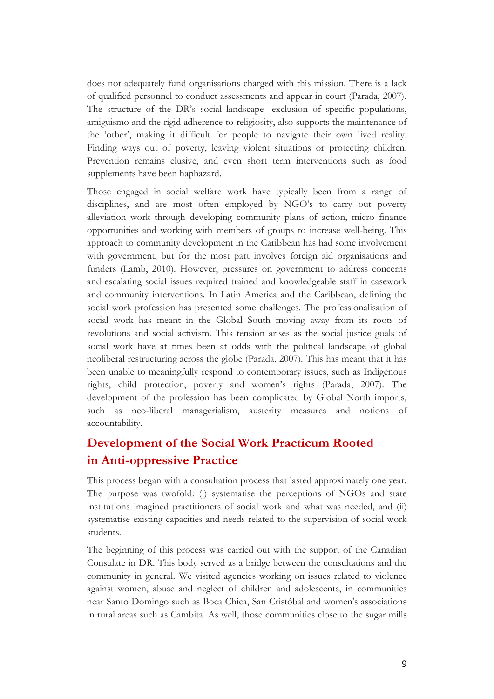does not adequately fund organisations charged with this mission. There is a lack of qualified personnel to conduct assessments and appear in court (Parada, 2007). The structure of the DR's social landscape- exclusion of specific populations, amiguismo and the rigid adherence to religiosity, also supports the maintenance of the 'other', making it difficult for people to navigate their own lived reality. Finding ways out of poverty, leaving violent situations or protecting children. Prevention remains elusive, and even short term interventions such as food supplements have been haphazard.

Those engaged in social welfare work have typically been from a range of disciplines, and are most often employed by NGO's to carry out poverty alleviation work through developing community plans of action, micro finance opportunities and working with members of groups to increase well-being. This approach to community development in the Caribbean has had some involvement with government, but for the most part involves foreign aid organisations and funders (Lamb, 2010). However, pressures on government to address concerns and escalating social issues required trained and knowledgeable staff in casework and community interventions. In Latin America and the Caribbean, defining the social work profession has presented some challenges. The professionalisation of social work has meant in the Global South moving away from its roots of revolutions and social activism. This tension arises as the social justice goals of social work have at times been at odds with the political landscape of global neoliberal restructuring across the globe (Parada, 2007). This has meant that it has been unable to meaningfully respond to contemporary issues, such as Indigenous rights, child protection, poverty and women's rights (Parada, 2007). The development of the profession has been complicated by Global North imports, such as neo-liberal managerialism, austerity measures and notions of accountability.

# **Development of the Social Work Practicum Rooted in Anti-oppressive Practice**

This process began with a consultation process that lasted approximately one year. The purpose was twofold: (i) systematise the perceptions of NGOs and state institutions imagined practitioners of social work and what was needed, and (ii) systematise existing capacities and needs related to the supervision of social work students.

The beginning of this process was carried out with the support of the Canadian Consulate in DR. This body served as a bridge between the consultations and the community in general. We visited agencies working on issues related to violence against women, abuse and neglect of children and adolescents, in communities near Santo Domingo such as Boca Chica, San Cristóbal and women's associations in rural areas such as Cambita. As well, those communities close to the sugar mills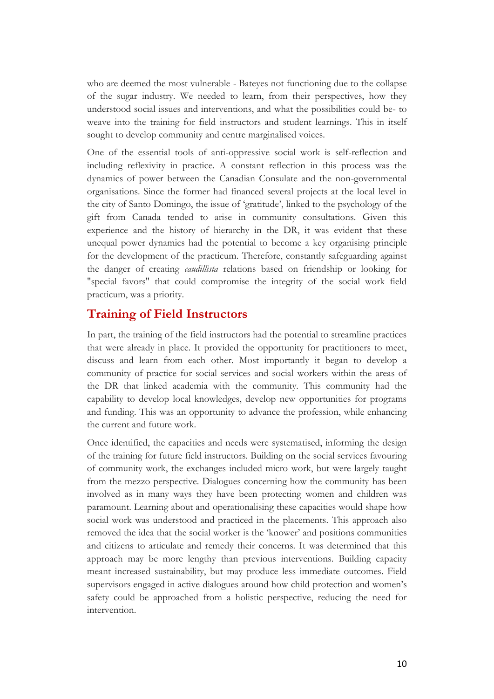who are deemed the most vulnerable - Bateyes not functioning due to the collapse of the sugar industry. We needed to learn, from their perspectives, how they understood social issues and interventions, and what the possibilities could be- to weave into the training for field instructors and student learnings. This in itself sought to develop community and centre marginalised voices.

One of the essential tools of anti-oppressive social work is self-reflection and including reflexivity in practice. A constant reflection in this process was the dynamics of power between the Canadian Consulate and the non-governmental organisations. Since the former had financed several projects at the local level in the city of Santo Domingo, the issue of 'gratitude', linked to the psychology of the gift from Canada tended to arise in community consultations. Given this experience and the history of hierarchy in the DR, it was evident that these unequal power dynamics had the potential to become a key organising principle for the development of the practicum. Therefore, constantly safeguarding against the danger of creating *caudillista* relations based on friendship or looking for "special favors" that could compromise the integrity of the social work field practicum, was a priority.

## **Training of Field Instructors**

In part, the training of the field instructors had the potential to streamline practices that were already in place. It provided the opportunity for practitioners to meet, discuss and learn from each other. Most importantly it began to develop a community of practice for social services and social workers within the areas of the DR that linked academia with the community. This community had the capability to develop local knowledges, develop new opportunities for programs and funding. This was an opportunity to advance the profession, while enhancing the current and future work.

Once identified, the capacities and needs were systematised, informing the design of the training for future field instructors. Building on the social services favouring of community work, the exchanges included micro work, but were largely taught from the mezzo perspective. Dialogues concerning how the community has been involved as in many ways they have been protecting women and children was paramount. Learning about and operationalising these capacities would shape how social work was understood and practiced in the placements. This approach also removed the idea that the social worker is the 'knower' and positions communities and citizens to articulate and remedy their concerns. It was determined that this approach may be more lengthy than previous interventions. Building capacity meant increased sustainability, but may produce less immediate outcomes. Field supervisors engaged in active dialogues around how child protection and women's safety could be approached from a holistic perspective, reducing the need for intervention.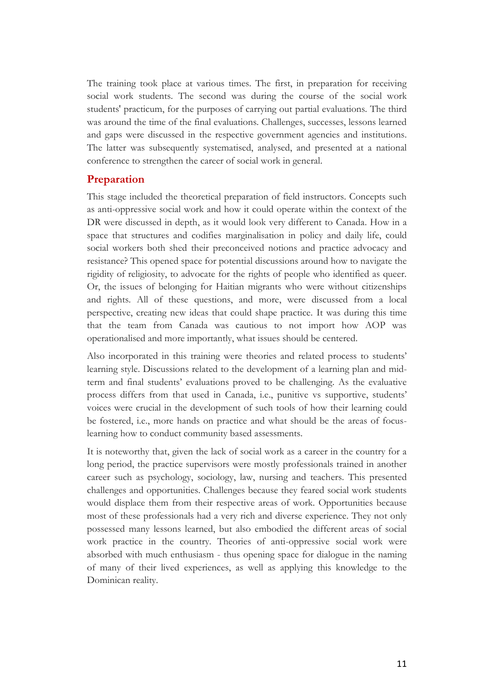The training took place at various times. The first, in preparation for receiving social work students. The second was during the course of the social work students' practicum, for the purposes of carrying out partial evaluations. The third was around the time of the final evaluations. Challenges, successes, lessons learned and gaps were discussed in the respective government agencies and institutions. The latter was subsequently systematised, analysed, and presented at a national conference to strengthen the career of social work in general.

#### **Preparation**

This stage included the theoretical preparation of field instructors. Concepts such as anti-oppressive social work and how it could operate within the context of the DR were discussed in depth, as it would look very different to Canada. How in a space that structures and codifies marginalisation in policy and daily life, could social workers both shed their preconceived notions and practice advocacy and resistance? This opened space for potential discussions around how to navigate the rigidity of religiosity, to advocate for the rights of people who identified as queer. Or, the issues of belonging for Haitian migrants who were without citizenships and rights. All of these questions, and more, were discussed from a local perspective, creating new ideas that could shape practice. It was during this time that the team from Canada was cautious to not import how AOP was operationalised and more importantly, what issues should be centered.

Also incorporated in this training were theories and related process to students' learning style. Discussions related to the development of a learning plan and midterm and final students' evaluations proved to be challenging. As the evaluative process differs from that used in Canada, i.e., punitive vs supportive, students' voices were crucial in the development of such tools of how their learning could be fostered, i.e., more hands on practice and what should be the areas of focuslearning how to conduct community based assessments.

It is noteworthy that, given the lack of social work as a career in the country for a long period, the practice supervisors were mostly professionals trained in another career such as psychology, sociology, law, nursing and teachers. This presented challenges and opportunities. Challenges because they feared social work students would displace them from their respective areas of work. Opportunities because most of these professionals had a very rich and diverse experience. They not only possessed many lessons learned, but also embodied the different areas of social work practice in the country. Theories of anti-oppressive social work were absorbed with much enthusiasm - thus opening space for dialogue in the naming of many of their lived experiences, as well as applying this knowledge to the Dominican reality.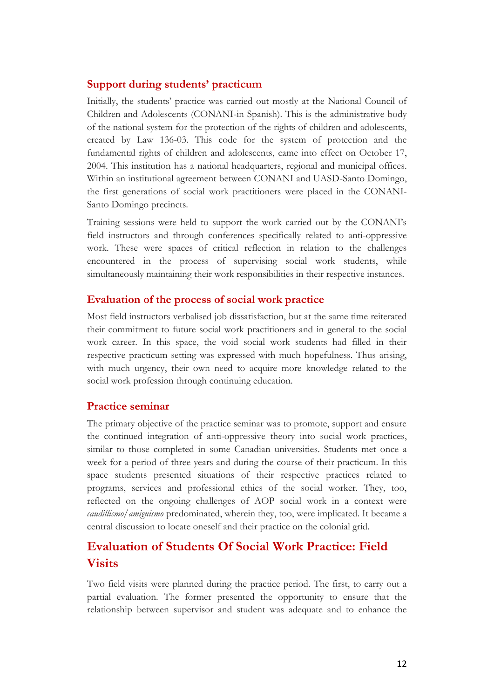### **Support during students' practicum**

Initially, the students' practice was carried out mostly at the National Council of Children and Adolescents (CONANI-in Spanish). This is the administrative body of the national system for the protection of the rights of children and adolescents, created by Law 136-03. This code for the system of protection and the fundamental rights of children and adolescents, came into effect on October 17, 2004. This institution has a national headquarters, regional and municipal offices. Within an institutional agreement between CONANI and UASD-Santo Domingo, the first generations of social work practitioners were placed in the CONANI-Santo Domingo precincts.

Training sessions were held to support the work carried out by the CONANI's field instructors and through conferences specifically related to anti-oppressive work. These were spaces of critical reflection in relation to the challenges encountered in the process of supervising social work students, while simultaneously maintaining their work responsibilities in their respective instances.

### **Evaluation of the process of social work practice**

Most field instructors verbalised job dissatisfaction, but at the same time reiterated their commitment to future social work practitioners and in general to the social work career. In this space, the void social work students had filled in their respective practicum setting was expressed with much hopefulness. Thus arising, with much urgency, their own need to acquire more knowledge related to the social work profession through continuing education.

### **Practice seminar**

The primary objective of the practice seminar was to promote, support and ensure the continued integration of anti-oppressive theory into social work practices, similar to those completed in some Canadian universities. Students met once a week for a period of three years and during the course of their practicum. In this space students presented situations of their respective practices related to programs, services and professional ethics of the social worker. They, too, reflected on the ongoing challenges of AOP social work in a context were *caudillismo/amiguismo* predominated, wherein they, too, were implicated. It became a central discussion to locate oneself and their practice on the colonial grid.

# **Evaluation of Students Of Social Work Practice: Field Visits**

Two field visits were planned during the practice period. The first, to carry out a partial evaluation. The former presented the opportunity to ensure that the relationship between supervisor and student was adequate and to enhance the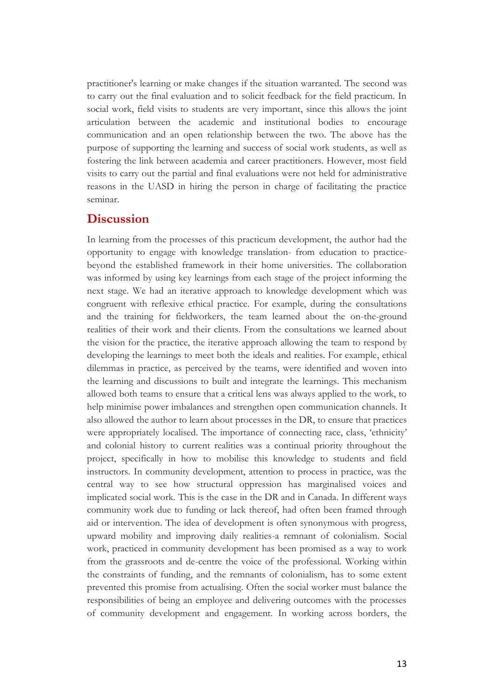practitioner's learning or make changes if the situation warranted. The second was to carry out the final evaluation and to solicit feedback for the field practicum. In social work, field visits to students are very important, since this allows the joint articulation between the academic and institutional bodies to encourage communication and an open relationship between the two. The above has the purpose of supporting the learning and success of social work students, as well as fostering the link between academia and career practitioners. However, most field visits to carry out the partial and final evaluations were not held for administrative reasons in the UASD in hiring the person in charge of facilitating the practice seminar.

### **Discussion**

In learning from the processes of this practicum development, the author had the opportunity to engage with knowledge translation- from education to practicebeyond the established framework in their home universities. The collaboration was informed by using key learnings from each stage of the project informing the next stage. We had an iterative approach to knowledge development which was congruent with reflexive ethical practice. For example, during the consultations and the training for fieldworkers, the team learned about the on-the-ground realities of their work and their clients. From the consultations we learned about the vision for the practice, the iterative approach allowing the team to respond by developing the learnings to meet both the ideals and realities. For example, ethical dilemmas in practice, as perceived by the teams, were identified and woven into the learning and discussions to built and integrate the learnings. This mechanism allowed both teams to ensure that a critical lens was always applied to the work, to help minimise power imbalances and strengthen open communication channels. It also allowed the author to learn about processes in the DR, to ensure that practices were appropriately localised. The importance of connecting race, class, 'ethnicity' and colonial history to current realities was a continual priority throughout the project, specifically in how to mobilise this knowledge to students and field instructors. In community development, attention to process in practice, was the central way to see how structural oppression has marginalised voices and implicated social work. This is the case in the DR and in Canada. In different ways community work due to funding or lack thereof, had often been framed through aid or intervention. The idea of development is often synonymous with progress, upward mobility and improving daily realities-a remnant of colonialism. Social work, practiced in community development has been promised as a way to work from the grassroots and de-centre the voice of the professional. Working within the constraints of funding, and the remnants of colonialism, has to some extent prevented this promise from actualising. Often the social worker must balance the responsibilities of being an employee and delivering outcomes with the processes of community development and engagement. In working across borders, the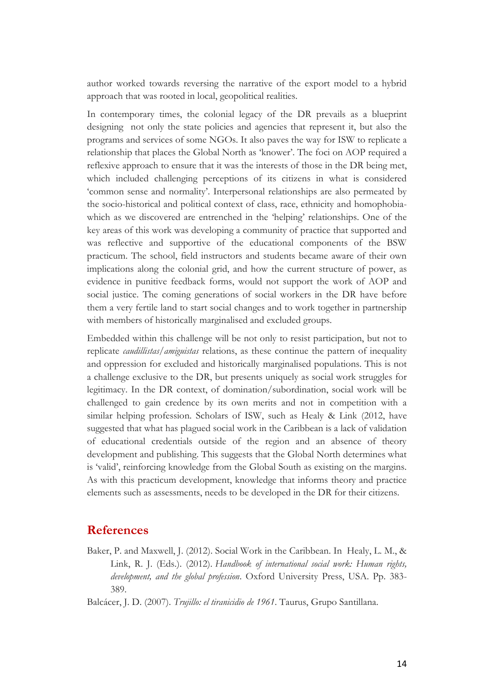author worked towards reversing the narrative of the export model to a hybrid approach that was rooted in local, geopolitical realities.

In contemporary times, the colonial legacy of the DR prevails as a blueprint designing not only the state policies and agencies that represent it, but also the programs and services of some NGOs. It also paves the way for ISW to replicate a relationship that places the Global North as 'knower'. The foci on AOP required a reflexive approach to ensure that it was the interests of those in the DR being met, which included challenging perceptions of its citizens in what is considered 'common sense and normality'. Interpersonal relationships are also permeated by the socio-historical and political context of class, race, ethnicity and homophobiawhich as we discovered are entrenched in the 'helping' relationships. One of the key areas of this work was developing a community of practice that supported and was reflective and supportive of the educational components of the BSW practicum. The school, field instructors and students became aware of their own implications along the colonial grid, and how the current structure of power, as evidence in punitive feedback forms, would not support the work of AOP and social justice. The coming generations of social workers in the DR have before them a very fertile land to start social changes and to work together in partnership with members of historically marginalised and excluded groups.

Embedded within this challenge will be not only to resist participation, but not to replicate *caudillistas/amiguistas* relations, as these continue the pattern of inequality and oppression for excluded and historically marginalised populations. This is not a challenge exclusive to the DR, but presents uniquely as social work struggles for legitimacy. In the DR context, of domination/subordination, social work will be challenged to gain credence by its own merits and not in competition with a similar helping profession. Scholars of ISW, such as Healy & Link (2012, have suggested that what has plagued social work in the Caribbean is a lack of validation of educational credentials outside of the region and an absence of theory development and publishing. This suggests that the Global North determines what is 'valid', reinforcing knowledge from the Global South as existing on the margins. As with this practicum development, knowledge that informs theory and practice elements such as assessments, needs to be developed in the DR for their citizens.

### **References**

Baker, P. and Maxwell, J. (2012). Social Work in the Caribbean. In Healy, L. M., & Link, R. J. (Eds.). (2012). *Handbook of international social work: Human rights, development, and the global profession*. Oxford University Press, USA. Pp. 383- 389.

Balcácer, J. D. (2007). *Trujillo: el tiranicidio de 1961*. Taurus, Grupo Santillana.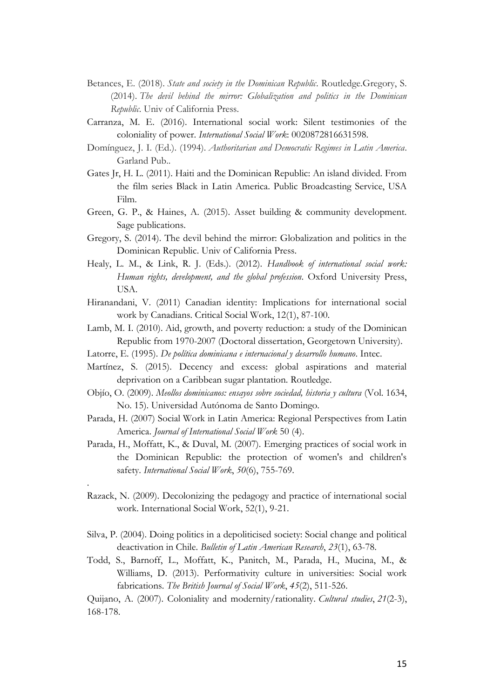- Betances, E. (2018). *State and society in the Dominican Republic*. Routledge.Gregory, S. (2014). *The devil behind the mirror: Globalization and politics in the Dominican Republic*. Univ of California Press.
- Carranza, M. E. (2016). International social work: Silent testimonies of the coloniality of power. *International Social Work*: 0020872816631598.
- Domínguez, J. I. (Ed.). (1994). *Authoritarian and Democratic Regimes in Latin America*. Garland Pub..
- Gates Jr, H. L. (2011). Haiti and the Dominican Republic: An island divided. From the film series Black in Latin America. Public Broadcasting Service, USA Film.
- Green, G. P., & Haines, A. (2015). Asset building & community development. Sage publications.
- Gregory, S. (2014). The devil behind the mirror: Globalization and politics in the Dominican Republic. Univ of California Press.
- Healy, L. M., & Link, R. J. (Eds.). (2012). *Handbook of international social work: Human rights, development, and the global profession*. Oxford University Press, USA.
- Hiranandani, V. (2011) Canadian identity: Implications for international social work by Canadians. Critical Social Work, 12(1), 87-100.
- Lamb, M. I. (2010). Aid, growth, and poverty reduction: a study of the Dominican Republic from 1970-2007 (Doctoral dissertation, Georgetown University).
- Latorre, E. (1995). *De política dominicana e internacional y desarrollo humano*. Intec.
- Martínez, S. (2015). Decency and excess: global aspirations and material deprivation on a Caribbean sugar plantation. Routledge.
- Objío, O. (2009). *Meollos dominicanos: ensayos sobre sociedad, historia y cultura* (Vol. 1634, No. 15). Universidad Autónoma de Santo Domingo.
- Parada, H. (2007) Social Work in Latin America: Regional Perspectives from Latin America. *Journal of International Social Work* 50 (4).
- Parada, H., Moffatt, K., & Duval, M. (2007). Emerging practices of social work in the Dominican Republic: the protection of women's and children's safety. *International Social Work*, *50*(6), 755-769.
- Razack, N. (2009). Decolonizing the pedagogy and practice of international social work. International Social Work, 52(1), 9-21.

.

- Silva, P. (2004). Doing politics in a depoliticised society: Social change and political deactivation in Chile. *Bulletin of Latin American Research*, *23*(1), 63-78.
- Todd, S., Barnoff, L., Moffatt, K., Panitch, M., Parada, H., Mucina, M., & Williams, D. (2013). Performativity culture in universities: Social work fabrications. *The British Journal of Social Work*, *45*(2), 511-526.

Quijano, A. (2007). Coloniality and modernity/rationality. *Cultural studies*, *21*(2-3), 168-178.